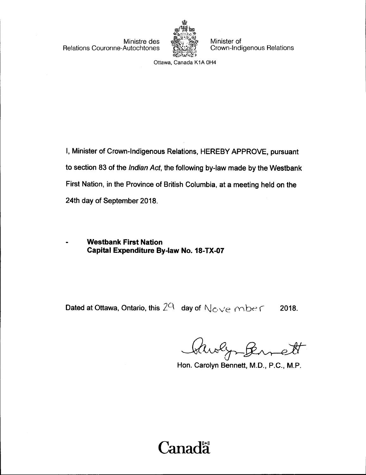Relations Couronne-Autochtones



Ministre des **the strategies Minister of**<br>Autochtones (ANSIA) Crown-Indigenous Relations

Ottawa, Canada K1A 0H4

I, Minister of Crown-Indigenous Relations, HEREBY APPROVE, pursuant to section 83 of the Indian Act, the following by-law made by the Westbank First Nation, in the Province of British Columbia, at a meeting held on the 24th day of September 2018.

Westbank First Nation Capital Expenditure By-law No. 18-TX-07

Dated at Ottawa, Ontario, this  $2^{\mathsf{Q}}$  day of  $N_{\mathsf{C}}$  ve mber 2018.

Quolig Burett

Hon. Carolyn Bennett, M.D., P.C., M.P.

# Canadä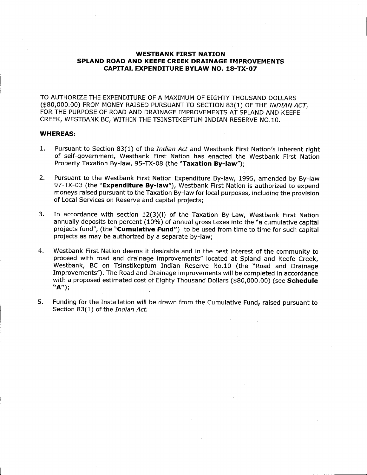#### WESTBANK FIRST NATION SPLAND ROAD AND KEEFE CREEK DRAINAGE IMPROVEMENTS CAPITAL EXPENDITURE BYLAW NO. 18-TX-07

TO AUTHORIZE THE EXPENDITURE OF A MAXIMUM OF EIGHTY THOUSAND DOLLARS (\$80,000.00) FROM MONEY RAISED PURSUANT TO SECTION 83(1) OF THE INDIAN ACT, FOR THE PURPOSE OF ROAD AND DRAINAGE IMPROVEMENTS AT SPLAND AND KEEFE CREEK, WESTBANK BC, WITHIN THE TSINSTIKEPTUM INDIAN RESERVE NO. 10.

#### WHEREAS:

- 1. Pursuant to Section 83(1) of the *Indian Act* and Westbank First Nation's inherent right of self- government, Westbank First Nation has enacted the Westbank First Nation Property Taxation By-law, 95-TX-08 (the "Taxation By-law");
- 2. Pursuant to the Westbank First Nation Expenditure By-law, 1995, amended by By-law 97-TX-03 (the "Expenditure By-law"), Westbank First Nation is authorized to expend moneys raised pursuant to the Taxation By- law for local purposes, including the provision of Local Services on Reserve and capital projects;
- 3. In accordance with section  $12(3)(1)$  of the Taxation By-Law, Westbank First Nation annually deposits ten percent (10%) of annual gross taxes into the "a cumulative capital projects fund", (the "Cumulative Fund") to be used from time to time for such capital projects as may be authorized by a separate by-law:
- 4. Westbank First Nation deems it desirable and in the best interest of the community to proceed with road and drainage improvements" located at Spland and Keefe Creek, Westbank, BC on Tsinstikeptum Indian Reserve No. 10 ( the " Road and Drainage Improvements"). The Road and Drainage improvements will be completed in accordance with a proposed estimated cost of Eighty Thousand Dollars (\$80,000.00) (see Schedule A");
- 5. Funding for the Installation will be drawn from the Cumulative Fund, raised pursuant to Section 83(1) of the Indian Act.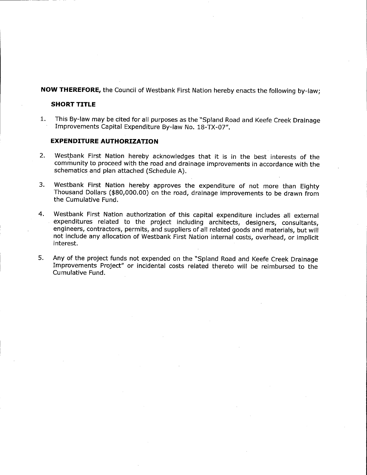NOW THEREFORE, the Council of Westbank First Nation hereby enacts the following by-law;

#### SHORT TITLE

1. This By-law may be cited for all purposes as the "Spland Road and Keefe Creek Drainage Improvements Capital Expenditure By-law No. 18-TX-07".

#### EXPENDITURE AUTHORIZATION

- 2. Westbank First Nation hereby acknowledges that it is in the best interests of the community to proceed with the road and drainage improvements in accordance with the schematics and plan attached (Schedule A).
- 3. Westbank First Nation hereby approves the expenditure of not more than Eighty Thousand Dollars (\$ 80, 000. 00) on the road, drainage improvements to be drawn from the Cumulative Fund.
- 4. Westbank First Nation authorization of this capital expenditure includes all external expenditures related to the project including architects, designers, consultants, engineers, contractors, permits, and suppliers of all related goods and materials, but will not include any allocation of Westbank First Nation internal costs, overhead, or implicit interest.
- 5. Any of the project funds not expended on the " Spland Road and Keefe Creek Drainage Improvements Project" or incidental costs related thereto will be reimbursed to the Cumulative Fund.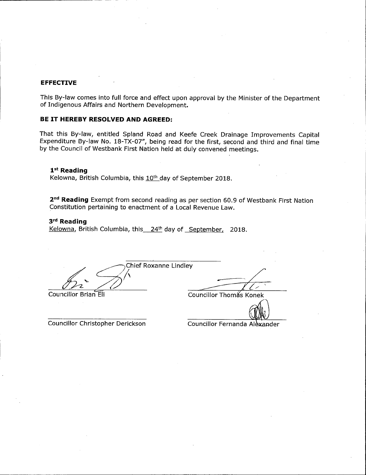#### EFFECTIVE

This By-law comes into full force and effect upon approval by the Minister of the Department of Indigenous Affairs and Northern Development.

#### BE IT HEREBY RESOLVED AND AGREED:

That this By- law, entitled Spland Road and Keefe Creek Drainage Improvements Capital Expenditure By-law No. 18-TX-07", being read for the first, second and third and final time by the Council of Westbank First Nation held at duly convened meetings.

#### 1st Reading

Kelowna, British Columbia, this 10<sup>th</sup> day of September 2018.

2<sup>nd</sup> Reading Exempt from second reading as per section 60.9 of Westbank First Nation Constitution pertaining to enactment of a Local Revenue Law.

#### 3rd Reading

Kelowna, British Columbia, this 24<sup>th</sup> day of September, 2018.

Chief Roxanne Lindley  $\mathcal{Z}^{\mathcal{C}}$ 

Councillor Christopher Derickson Councillor Fernanda Alexander

Councillor Brian Eli Councillor Thomas Konek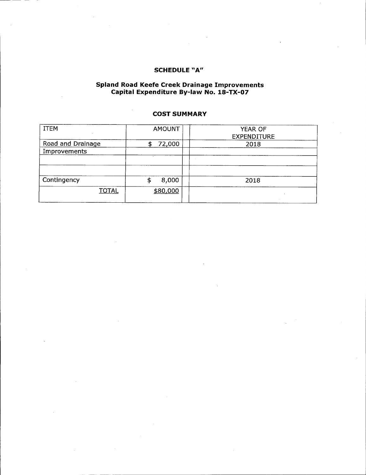### SCHEDULE "A"

#### Spland Road Keefe Creek Drainage Improvement Capital Expenditure By-law No. 18-TX-07

#### COST SUMMARY

| <b>ITEM</b>       | <b>AMOUNT</b> | YEAR OF<br><b>EXPENDITURE</b> |
|-------------------|---------------|-------------------------------|
| Road and Drainage | 72,000<br>S   | 2018                          |
| Improvements      |               |                               |
|                   |               |                               |
|                   |               |                               |
| Contingency       | 8,000         | 2018                          |
| <b>TOTAL</b>      | \$80,000      |                               |
|                   |               |                               |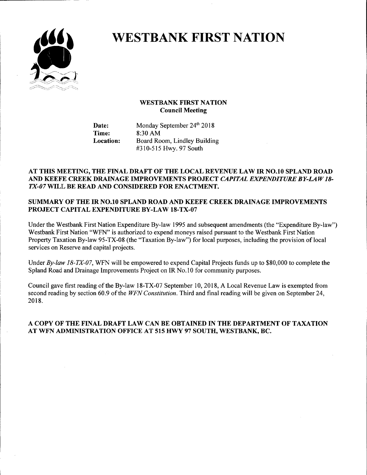

# WESTBANK FIRST NATION

#### WESTBANK FIRST NATION Council Meeting

Date: Monday September 24<sup>th</sup> 2018<br>Time: 8:30 AM 8:30 AM Location: Board Room, Lindley Building #310-515 Hwy. 97 South

#### AT THIS MEETING, THE FINAL DRAFT OF THE LOCAL REVENUE LAW IR NO. 10 SPLAND ROAD AND KEEFE CREEK DRAINAGE IMPROVEMENTS PROJECT CAPITAL EXPENDITURE BY-LAW 18- TX-07 WILL BE READ AND CONSIDERED FOR ENACTMENT.

#### SUMMARY OF THE IR NO. 10 SPLAND ROAD AND KEEFE CREEK DRAINAGE IMPROVEMENTS PROJECT CAPITAL EXPENDITURE BY-LAW 18-TX-07

Under the Westbank First Nation Expenditure By-law 1995 and subsequent amendments (the "Expenditure By-law") Westbank First Nation "WFN" is authorized to expend moneys raised pursuant to the Westbank First Nation Property Taxation By-law 95-TX-08 (the "Taxation By-law") for local purposes, including the provision of local services on Reserve and capital projects.

Under By-law 18-TX-07, WFN will be empowered to expend Capital Projects funds up to \$80,000 to complete the Spland Road and Drainage Improvements Project on IR No. 10 for community purposes.

Council gave first reading of the By-law 18-TX-07 September 10, 2018, A Local Revenue Law is exempted from second reading by section 60.9 of the WFN Constitution. Third and final reading will be given on September 24, 2018.

#### A COPY OF THE FINAL DRAFT LAW CAN BE OBTAINED IN THE DEPARTMENT OF TAXATION AT WFN ADMINISTRATION OFFICE AT 515 HWY 97 SOUTH, WESTBANK, BC.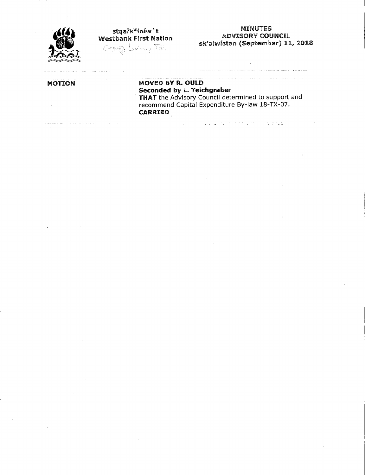

11 6tqa?k"+níw`t<br>11 ADVISORY COU&<br>11 Geptembe Conservation (Septembe

المنابي والمتعاقب

## ADVISORY COUNCIL sk'alwistan (September) 11, 2018

an<br>Kabupatèn Propinsi Jawa

# MOTION MOVED BY R. OULD Seconded by L. Teichgrabe

 $\label{eq:3} \mathcal{L}(\mathcal{L}(\mathcal{L}^{\mathcal{L}}_{\mathcal{L}}),\mathcal{L}^{\mathcal{L}}_{\mathcal{L}}) = \mathcal{L}(\mathcal{L}^{\mathcal{L}}_{\mathcal{L}}), \mathcal{L}^{\mathcal{L}}_{\mathcal{L}}(\mathcal{L}^{\mathcal{L}}_{\mathcal{L}}), \mathcal{L}^{\mathcal{L}}_{\mathcal{L}})$ 

THAT the Advisory Council determined to support and recommend Capital Expenditure By-law 18-TX-07. **CARRIED**